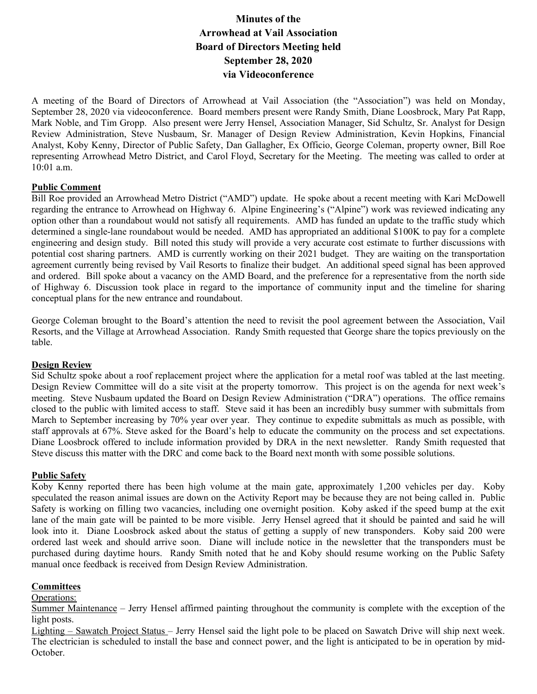# **Minutes of the Arrowhead at Vail Association Board of Directors Meeting held September 28, 2020 via Videoconference**

A meeting of the Board of Directors of Arrowhead at Vail Association (the "Association") was held on Monday, September 28, 2020 via videoconference. Board members present were Randy Smith, Diane Loosbrock, Mary Pat Rapp, Mark Noble, and Tim Gropp. Also present were Jerry Hensel, Association Manager, Sid Schultz, Sr. Analyst for Design Review Administration, Steve Nusbaum, Sr. Manager of Design Review Administration, Kevin Hopkins, Financial Analyst, Koby Kenny, Director of Public Safety, Dan Gallagher, Ex Officio, George Coleman, property owner, Bill Roe representing Arrowhead Metro District, and Carol Floyd, Secretary for the Meeting. The meeting was called to order at 10:01 a.m.

#### **Public Comment**

Bill Roe provided an Arrowhead Metro District ("AMD") update. He spoke about a recent meeting with Kari McDowell regarding the entrance to Arrowhead on Highway 6. Alpine Engineering's ("Alpine") work was reviewed indicating any option other than a roundabout would not satisfy all requirements. AMD has funded an update to the traffic study which determined a single-lane roundabout would be needed. AMD has appropriated an additional \$100K to pay for a complete engineering and design study. Bill noted this study will provide a very accurate cost estimate to further discussions with potential cost sharing partners. AMD is currently working on their 2021 budget. They are waiting on the transportation agreement currently being revised by Vail Resorts to finalize their budget. An additional speed signal has been approved and ordered. Bill spoke about a vacancy on the AMD Board, and the preference for a representative from the north side of Highway 6. Discussion took place in regard to the importance of community input and the timeline for sharing conceptual plans for the new entrance and roundabout.

George Coleman brought to the Board's attention the need to revisit the pool agreement between the Association, Vail Resorts, and the Village at Arrowhead Association. Randy Smith requested that George share the topics previously on the table.

#### **Design Review**

Sid Schultz spoke about a roof replacement project where the application for a metal roof was tabled at the last meeting. Design Review Committee will do a site visit at the property tomorrow. This project is on the agenda for next week's meeting. Steve Nusbaum updated the Board on Design Review Administration ("DRA") operations. The office remains closed to the public with limited access to staff. Steve said it has been an incredibly busy summer with submittals from March to September increasing by 70% year over year. They continue to expedite submittals as much as possible, with staff approvals at 67%. Steve asked for the Board's help to educate the community on the process and set expectations. Diane Loosbrock offered to include information provided by DRA in the next newsletter. Randy Smith requested that Steve discuss this matter with the DRC and come back to the Board next month with some possible solutions.

#### **Public Safety**

Koby Kenny reported there has been high volume at the main gate, approximately 1,200 vehicles per day. Koby speculated the reason animal issues are down on the Activity Report may be because they are not being called in. Public Safety is working on filling two vacancies, including one overnight position. Koby asked if the speed bump at the exit lane of the main gate will be painted to be more visible. Jerry Hensel agreed that it should be painted and said he will look into it. Diane Loosbrock asked about the status of getting a supply of new transponders. Koby said 200 were ordered last week and should arrive soon. Diane will include notice in the newsletter that the transponders must be purchased during daytime hours. Randy Smith noted that he and Koby should resume working on the Public Safety manual once feedback is received from Design Review Administration.

#### **Committees**

Operations:

Summer Maintenance – Jerry Hensel affirmed painting throughout the community is complete with the exception of the light posts.

Lighting – Sawatch Project Status – Jerry Hensel said the light pole to be placed on Sawatch Drive will ship next week. The electrician is scheduled to install the base and connect power, and the light is anticipated to be in operation by mid-October.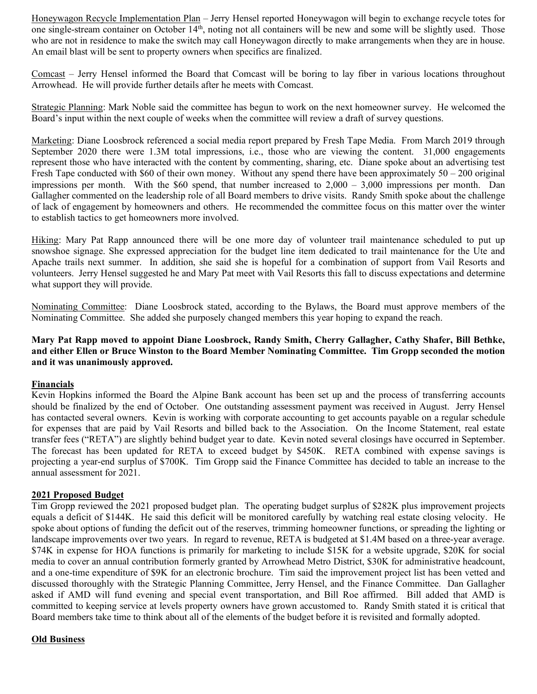Honeywagon Recycle Implementation Plan – Jerry Hensel reported Honeywagon will begin to exchange recycle totes for one single-stream container on October 14th, noting not all containers will be new and some will be slightly used. Those who are not in residence to make the switch may call Honeywagon directly to make arrangements when they are in house. An email blast will be sent to property owners when specifics are finalized.

Comcast – Jerry Hensel informed the Board that Comcast will be boring to lay fiber in various locations throughout Arrowhead. He will provide further details after he meets with Comcast.

Strategic Planning: Mark Noble said the committee has begun to work on the next homeowner survey. He welcomed the Board's input within the next couple of weeks when the committee will review a draft of survey questions.

Marketing: Diane Loosbrock referenced a social media report prepared by Fresh Tape Media. From March 2019 through September 2020 there were 1.3M total impressions, i.e., those who are viewing the content. 31,000 engagements represent those who have interacted with the content by commenting, sharing, etc. Diane spoke about an advertising test Fresh Tape conducted with \$60 of their own money. Without any spend there have been approximately  $50 - 200$  original impressions per month. With the \$60 spend, that number increased to  $2.000 - 3.000$  impressions per month. Dan Gallagher commented on the leadership role of all Board members to drive visits. Randy Smith spoke about the challenge of lack of engagement by homeowners and others. He recommended the committee focus on this matter over the winter to establish tactics to get homeowners more involved.

Hiking: Mary Pat Rapp announced there will be one more day of volunteer trail maintenance scheduled to put up snowshoe signage. She expressed appreciation for the budget line item dedicated to trail maintenance for the Ute and Apache trails next summer. In addition, she said she is hopeful for a combination of support from Vail Resorts and volunteers. Jerry Hensel suggested he and Mary Pat meet with Vail Resorts this fall to discuss expectations and determine what support they will provide.

Nominating Committee: Diane Loosbrock stated, according to the Bylaws, the Board must approve members of the Nominating Committee. She added she purposely changed members this year hoping to expand the reach.

### **Mary Pat Rapp moved to appoint Diane Loosbrock, Randy Smith, Cherry Gallagher, Cathy Shafer, Bill Bethke, and either Ellen or Bruce Winston to the Board Member Nominating Committee. Tim Gropp seconded the motion and it was unanimously approved.**

#### **Financials**

Kevin Hopkins informed the Board the Alpine Bank account has been set up and the process of transferring accounts should be finalized by the end of October. One outstanding assessment payment was received in August. Jerry Hensel has contacted several owners. Kevin is working with corporate accounting to get accounts payable on a regular schedule for expenses that are paid by Vail Resorts and billed back to the Association. On the Income Statement, real estate transfer fees ("RETA") are slightly behind budget year to date. Kevin noted several closings have occurred in September. The forecast has been updated for RETA to exceed budget by \$450K. RETA combined with expense savings is projecting a year-end surplus of \$700K. Tim Gropp said the Finance Committee has decided to table an increase to the annual assessment for 2021.

#### **2021 Proposed Budget**

Tim Gropp reviewed the 2021 proposed budget plan. The operating budget surplus of \$282K plus improvement projects equals a deficit of \$144K. He said this deficit will be monitored carefully by watching real estate closing velocity. He spoke about options of funding the deficit out of the reserves, trimming homeowner functions, or spreading the lighting or landscape improvements over two years. In regard to revenue, RETA is budgeted at \$1.4M based on a three-year average. \$74K in expense for HOA functions is primarily for marketing to include \$15K for a website upgrade, \$20K for social media to cover an annual contribution formerly granted by Arrowhead Metro District, \$30K for administrative headcount, and a one-time expenditure of \$9K for an electronic brochure. Tim said the improvement project list has been vetted and discussed thoroughly with the Strategic Planning Committee, Jerry Hensel, and the Finance Committee. Dan Gallagher asked if AMD will fund evening and special event transportation, and Bill Roe affirmed. Bill added that AMD is committed to keeping service at levels property owners have grown accustomed to. Randy Smith stated it is critical that Board members take time to think about all of the elements of the budget before it is revisited and formally adopted.

## **Old Business**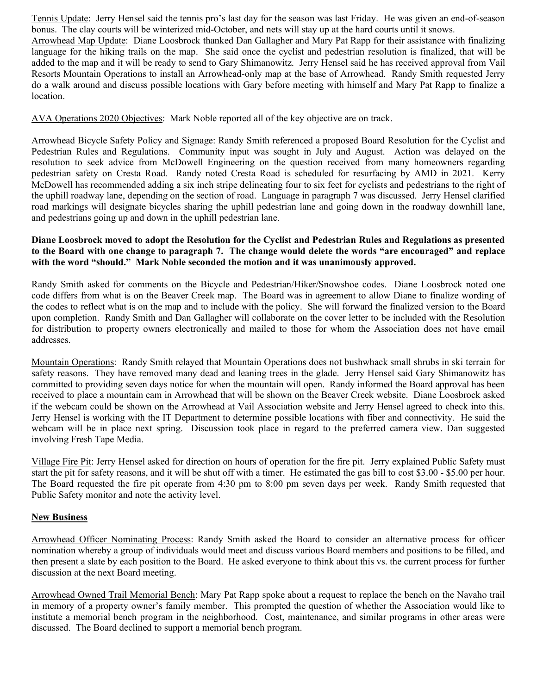Tennis Update: Jerry Hensel said the tennis pro's last day for the season was last Friday. He was given an end-of-season bonus. The clay courts will be winterized mid-October, and nets will stay up at the hard courts until it snows.

Arrowhead Map Update: Diane Loosbrock thanked Dan Gallagher and Mary Pat Rapp for their assistance with finalizing language for the hiking trails on the map. She said once the cyclist and pedestrian resolution is finalized, that will be added to the map and it will be ready to send to Gary Shimanowitz. Jerry Hensel said he has received approval from Vail Resorts Mountain Operations to install an Arrowhead-only map at the base of Arrowhead. Randy Smith requested Jerry do a walk around and discuss possible locations with Gary before meeting with himself and Mary Pat Rapp to finalize a location.

AVA Operations 2020 Objectives: Mark Noble reported all of the key objective are on track.

Arrowhead Bicycle Safety Policy and Signage: Randy Smith referenced a proposed Board Resolution for the Cyclist and Pedestrian Rules and Regulations. Community input was sought in July and August. Action was delayed on the resolution to seek advice from McDowell Engineering on the question received from many homeowners regarding pedestrian safety on Cresta Road. Randy noted Cresta Road is scheduled for resurfacing by AMD in 2021. Kerry McDowell has recommended adding a six inch stripe delineating four to six feet for cyclists and pedestrians to the right of the uphill roadway lane, depending on the section of road. Language in paragraph 7 was discussed. Jerry Hensel clarified road markings will designate bicycles sharing the uphill pedestrian lane and going down in the roadway downhill lane, and pedestrians going up and down in the uphill pedestrian lane.

#### **Diane Loosbrock moved to adopt the Resolution for the Cyclist and Pedestrian Rules and Regulations as presented to the Board with one change to paragraph 7. The change would delete the words "are encouraged" and replace with the word "should." Mark Noble seconded the motion and it was unanimously approved.**

Randy Smith asked for comments on the Bicycle and Pedestrian/Hiker/Snowshoe codes. Diane Loosbrock noted one code differs from what is on the Beaver Creek map. The Board was in agreement to allow Diane to finalize wording of the codes to reflect what is on the map and to include with the policy. She will forward the finalized version to the Board upon completion. Randy Smith and Dan Gallagher will collaborate on the cover letter to be included with the Resolution for distribution to property owners electronically and mailed to those for whom the Association does not have email addresses.

Mountain Operations: Randy Smith relayed that Mountain Operations does not bushwhack small shrubs in ski terrain for safety reasons. They have removed many dead and leaning trees in the glade. Jerry Hensel said Gary Shimanowitz has committed to providing seven days notice for when the mountain will open. Randy informed the Board approval has been received to place a mountain cam in Arrowhead that will be shown on the Beaver Creek website. Diane Loosbrock asked if the webcam could be shown on the Arrowhead at Vail Association website and Jerry Hensel agreed to check into this. Jerry Hensel is working with the IT Department to determine possible locations with fiber and connectivity. He said the webcam will be in place next spring. Discussion took place in regard to the preferred camera view. Dan suggested involving Fresh Tape Media.

Village Fire Pit: Jerry Hensel asked for direction on hours of operation for the fire pit. Jerry explained Public Safety must start the pit for safety reasons, and it will be shut off with a timer. He estimated the gas bill to cost \$3.00 - \$5.00 per hour. The Board requested the fire pit operate from 4:30 pm to 8:00 pm seven days per week. Randy Smith requested that Public Safety monitor and note the activity level.

## **New Business**

Arrowhead Officer Nominating Process: Randy Smith asked the Board to consider an alternative process for officer nomination whereby a group of individuals would meet and discuss various Board members and positions to be filled, and then present a slate by each position to the Board. He asked everyone to think about this vs. the current process for further discussion at the next Board meeting.

Arrowhead Owned Trail Memorial Bench: Mary Pat Rapp spoke about a request to replace the bench on the Navaho trail in memory of a property owner's family member. This prompted the question of whether the Association would like to institute a memorial bench program in the neighborhood. Cost, maintenance, and similar programs in other areas were discussed. The Board declined to support a memorial bench program.